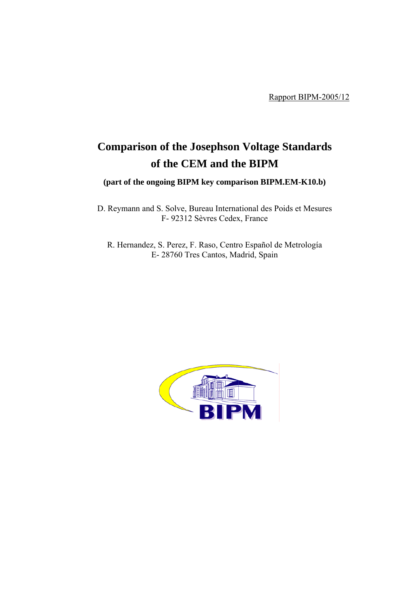Rapport BIPM-2005/12

# **Comparison of the Josephson Voltage Standards of the CEM and the BIPM**

**(part of the ongoing BIPM key comparison BIPM.EM-K10.b)**

D. Reymann and S. Solve, Bureau International des Poids et Mesures F- 92312 Sèvres Cedex, France

R. Hernandez, S. Perez, F. Raso, Centro Español de Metrología E- 28760 Tres Cantos, Madrid, Spain

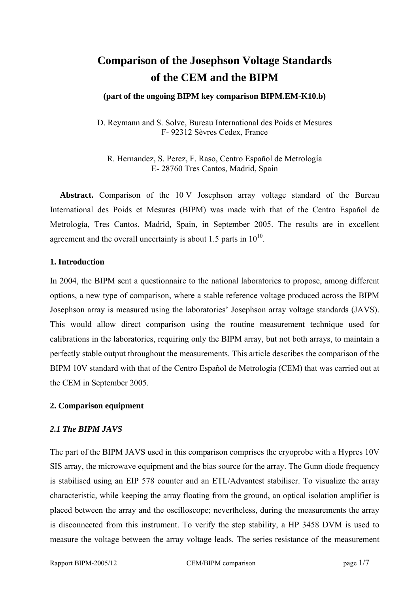## **Comparison of the Josephson Voltage Standards of the CEM and the BIPM**

#### **(part of the ongoing BIPM key comparison BIPM.EM-K10.b)**

D. Reymann and S. Solve, Bureau International des Poids et Mesures F- 92312 Sèvres Cedex, France

R. Hernandez, S. Perez, F. Raso, Centro Español de Metrología E- 28760 Tres Cantos, Madrid, Spain

**Abstract.** Comparison of the 10 V Josephson array voltage standard of the Bureau International des Poids et Mesures (BIPM) was made with that of the Centro Español de Metrología, Tres Cantos, Madrid, Spain, in September 2005. The results are in excellent agreement and the overall uncertainty is about 1.5 parts in  $10^{10}$ .

#### **1. Introduction**

In 2004, the BIPM sent a questionnaire to the national laboratories to propose, among different options, a new type of comparison, where a stable reference voltage produced across the BIPM Josephson array is measured using the laboratories' Josephson array voltage standards (JAVS). This would allow direct comparison using the routine measurement technique used for calibrations in the laboratories, requiring only the BIPM array, but not both arrays, to maintain a perfectly stable output throughout the measurements. This article describes the comparison of the BIPM 10V standard with that of the Centro Español de Metrología (CEM) that was carried out at the CEM in September 2005.

## **2. Comparison equipment**

## *2.1 The BIPM JAVS*

The part of the BIPM JAVS used in this comparison comprises the cryoprobe with a Hypres 10V SIS array, the microwave equipment and the bias source for the array. The Gunn diode frequency is stabilised using an EIP 578 counter and an ETL/Advantest stabiliser. To visualize the array characteristic, while keeping the array floating from the ground, an optical isolation amplifier is placed between the array and the oscilloscope; nevertheless, during the measurements the array is disconnected from this instrument. To verify the step stability, a HP 3458 DVM is used to measure the voltage between the array voltage leads. The series resistance of the measurement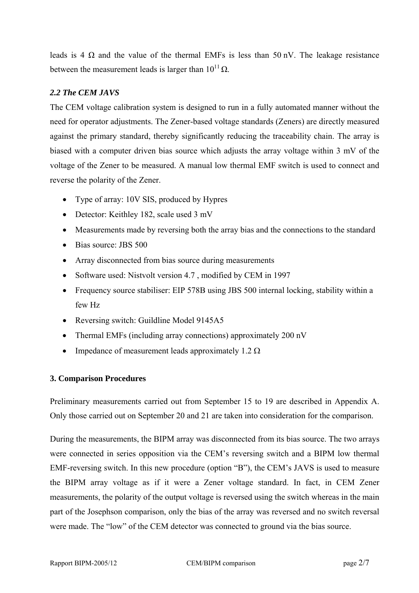leads is 4  $\Omega$  and the value of the thermal EMFs is less than 50 nV. The leakage resistance between the measurement leads is larger than  $10^{11} \Omega$ .

## *2.2 The CEM JAVS*

The CEM voltage calibration system is designed to run in a fully automated manner without the need for operator adjustments. The Zener-based voltage standards (Zeners) are directly measured against the primary standard, thereby significantly reducing the traceability chain. The array is biased with a computer driven bias source which adjusts the array voltage within 3 mV of the voltage of the Zener to be measured. A manual low thermal EMF switch is used to connect and reverse the polarity of the Zener.

- Type of array: 10V SIS, produced by Hypres
- Detector: Keithley 182, scale used 3 mV
- Measurements made by reversing both the array bias and the connections to the standard
- Bias source: JBS 500
- Array disconnected from bias source during measurements
- Software used: Nistvolt version 4.7 , modified by CEM in 1997
- Frequency source stabiliser: EIP 578B using JBS 500 internal locking, stability within a few Hz
- Reversing switch: Guildline Model 9145A5
- Thermal EMFs (including array connections) approximately 200 nV
- Impedance of measurement leads approximately 1.2  $\Omega$

## **3. Comparison Procedures**

Preliminary measurements carried out from September 15 to 19 are described in Appendix A. Only those carried out on September 20 and 21 are taken into consideration for the comparison.

During the measurements, the BIPM array was disconnected from its bias source. The two arrays were connected in series opposition via the CEM's reversing switch and a BIPM low thermal EMF-reversing switch. In this new procedure (option "B"), the CEM's JAVS is used to measure the BIPM array voltage as if it were a Zener voltage standard. In fact, in CEM Zener measurements, the polarity of the output voltage is reversed using the switch whereas in the main part of the Josephson comparison, only the bias of the array was reversed and no switch reversal were made. The "low" of the CEM detector was connected to ground via the bias source.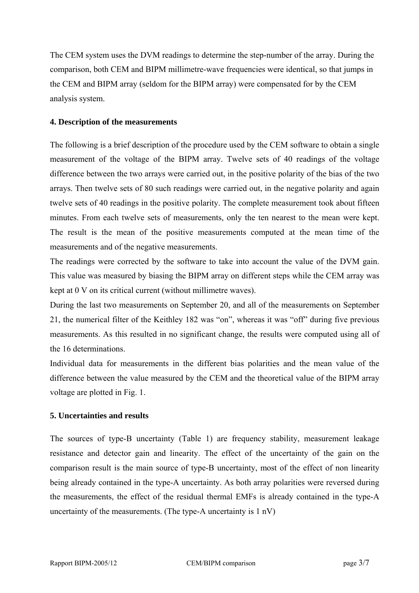The CEM system uses the DVM readings to determine the step-number of the array. During the comparison, both CEM and BIPM millimetre-wave frequencies were identical, so that jumps in the CEM and BIPM array (seldom for the BIPM array) were compensated for by the CEM analysis system.

#### **4. Description of the measurements**

The following is a brief description of the procedure used by the CEM software to obtain a single measurement of the voltage of the BIPM array. Twelve sets of 40 readings of the voltage difference between the two arrays were carried out, in the positive polarity of the bias of the two arrays. Then twelve sets of 80 such readings were carried out, in the negative polarity and again twelve sets of 40 readings in the positive polarity. The complete measurement took about fifteen minutes. From each twelve sets of measurements, only the ten nearest to the mean were kept. The result is the mean of the positive measurements computed at the mean time of the measurements and of the negative measurements.

The readings were corrected by the software to take into account the value of the DVM gain. This value was measured by biasing the BIPM array on different steps while the CEM array was kept at 0 V on its critical current (without millimetre waves).

During the last two measurements on September 20, and all of the measurements on September 21, the numerical filter of the Keithley 182 was "on", whereas it was "off" during five previous measurements. As this resulted in no significant change, the results were computed using all of the 16 determinations.

Individual data for measurements in the different bias polarities and the mean value of the difference between the value measured by the CEM and the theoretical value of the BIPM array voltage are plotted in Fig. 1.

## **5. Uncertainties and results**

The sources of type-B uncertainty (Table 1) are frequency stability, measurement leakage resistance and detector gain and linearity. The effect of the uncertainty of the gain on the comparison result is the main source of type-B uncertainty, most of the effect of non linearity being already contained in the type-A uncertainty. As both array polarities were reversed during the measurements, the effect of the residual thermal EMFs is already contained in the type-A uncertainty of the measurements. (The type-A uncertainty is 1 nV)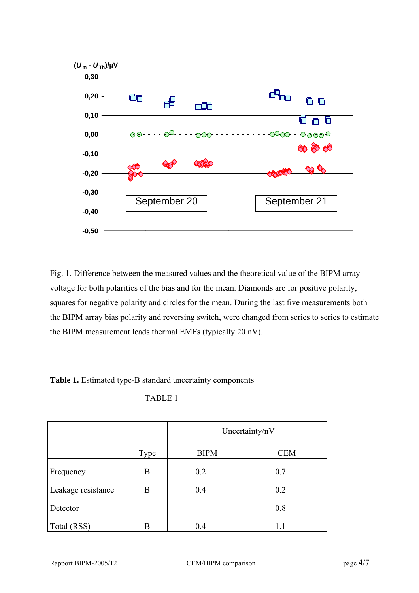

Fig. 1. Difference between the measured values and the theoretical value of the BIPM array voltage for both polarities of the bias and for the mean. Diamonds are for positive polarity, squares for negative polarity and circles for the mean. During the last five measurements both the BIPM array bias polarity and reversing switch, were changed from series to series to estimate the BIPM measurement leads thermal EMFs (typically 20 nV).

**Table 1.** Estimated type-B standard uncertainty components

TABLE 1

|                    |      | Uncertainty/nV |            |
|--------------------|------|----------------|------------|
|                    | Type | <b>BIPM</b>    | <b>CEM</b> |
| Frequency          | B    | 0.2            | 0.7        |
| Leakage resistance | B    | 0.4            | 0.2        |
| Detector           |      |                | 0.8        |
| Total (RSS)        | B    | 0.4            | 1.1        |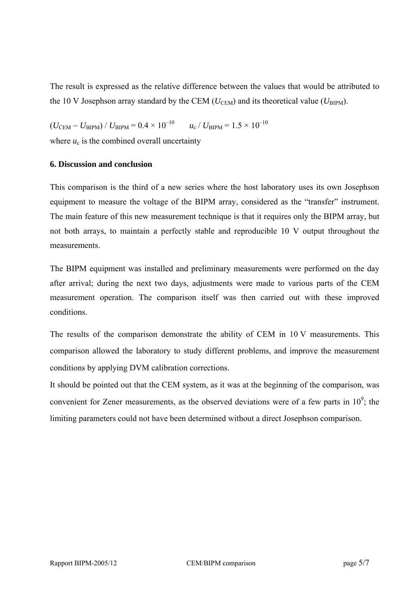The result is expressed as the relative difference between the values that would be attributed to the 10 V Josephson array standard by the CEM ( $U_{\text{CEM}}$ ) and its theoretical value ( $U_{\text{BIPM}}$ ).

 $(U_{\text{CEM}} - U_{\text{BIPM}}) / U_{\text{BIPM}} = 0.4 \times 10^{-10}$   $u_{\text{c}} / U_{\text{BIPM}} = 1.5 \times 10^{-10}$ 

where  $u_c$  is the combined overall uncertainty

#### **6. Discussion and conclusion**

This comparison is the third of a new series where the host laboratory uses its own Josephson equipment to measure the voltage of the BIPM array, considered as the "transfer" instrument. The main feature of this new measurement technique is that it requires only the BIPM array, but not both arrays, to maintain a perfectly stable and reproducible 10 V output throughout the measurements.

The BIPM equipment was installed and preliminary measurements were performed on the day after arrival; during the next two days, adjustments were made to various parts of the CEM measurement operation. The comparison itself was then carried out with these improved conditions.

The results of the comparison demonstrate the ability of CEM in 10 V measurements. This comparison allowed the laboratory to study different problems, and improve the measurement conditions by applying DVM calibration corrections.

It should be pointed out that the CEM system, as it was at the beginning of the comparison, was convenient for Zener measurements, as the observed deviations were of a few parts in  $10^9$ ; the limiting parameters could not have been determined without a direct Josephson comparison.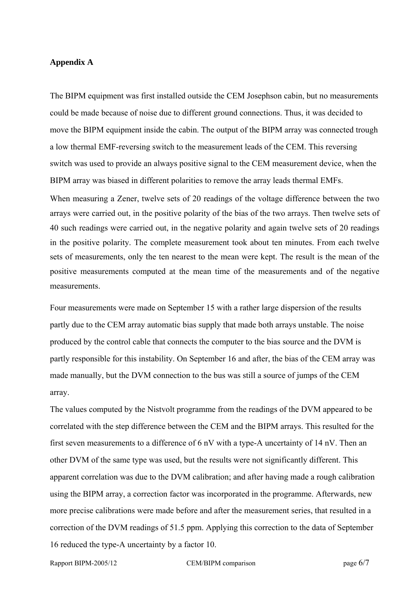#### **Appendix A**

The BIPM equipment was first installed outside the CEM Josephson cabin, but no measurements could be made because of noise due to different ground connections. Thus, it was decided to move the BIPM equipment inside the cabin. The output of the BIPM array was connected trough a low thermal EMF-reversing switch to the measurement leads of the CEM. This reversing switch was used to provide an always positive signal to the CEM measurement device, when the BIPM array was biased in different polarities to remove the array leads thermal EMFs.

When measuring a Zener, twelve sets of 20 readings of the voltage difference between the two arrays were carried out, in the positive polarity of the bias of the two arrays. Then twelve sets of 40 such readings were carried out, in the negative polarity and again twelve sets of 20 readings in the positive polarity. The complete measurement took about ten minutes. From each twelve sets of measurements, only the ten nearest to the mean were kept. The result is the mean of the positive measurements computed at the mean time of the measurements and of the negative measurements.

Four measurements were made on September 15 with a rather large dispersion of the results partly due to the CEM array automatic bias supply that made both arrays unstable. The noise produced by the control cable that connects the computer to the bias source and the DVM is partly responsible for this instability. On September 16 and after, the bias of the CEM array was made manually, but the DVM connection to the bus was still a source of jumps of the CEM array.

The values computed by the Nistvolt programme from the readings of the DVM appeared to be correlated with the step difference between the CEM and the BIPM arrays. This resulted for the first seven measurements to a difference of 6 nV with a type-A uncertainty of 14 nV. Then an other DVM of the same type was used, but the results were not significantly different. This apparent correlation was due to the DVM calibration; and after having made a rough calibration using the BIPM array, a correction factor was incorporated in the programme. Afterwards, new more precise calibrations were made before and after the measurement series, that resulted in a correction of the DVM readings of 51.5 ppm. Applying this correction to the data of September 16 reduced the type-A uncertainty by a factor 10.